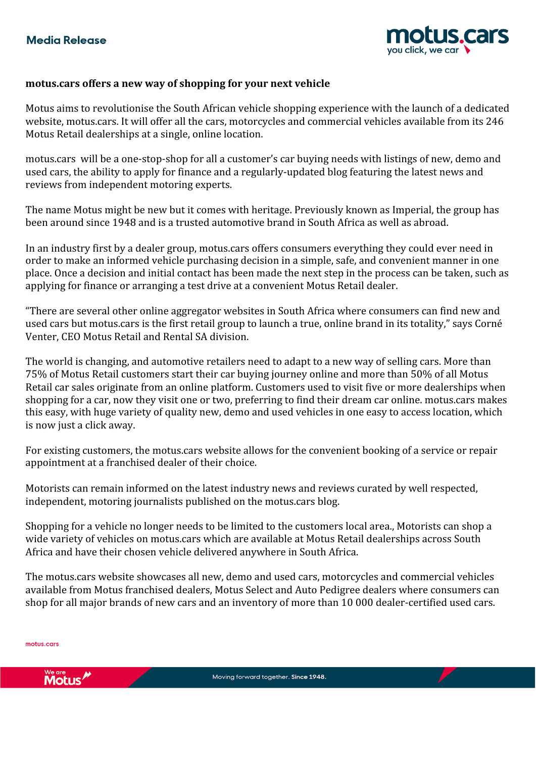

## **motus.cars offers a new way of shopping for your next vehicle**

Motus aims to revolutionise the South African vehicle shopping experience with the launch of a dedicated website, motus.cars. It will offer all the cars, motorcycles and commercial vehicles available from its 246 Motus Retail dealerships at a single, online location.

motus.cars will be a one-stop-shop for all a customer's car buying needs with listings of new, demo and used cars, the ability to apply for finance and a regularly-updated blog featuring the latest news and reviews from independent motoring experts.

The name Motus might be new but it comes with heritage. Previously known as Imperial, the group has been around since 1948 and is a trusted automotive brand in South Africa as well as abroad.

In an industry first by a dealer group, motus.cars offers consumers everything they could ever need in order to make an informed vehicle purchasing decision in a simple, safe, and convenient manner in one place. Once a decision and initial contact has been made the next step in the process can be taken, such as applying for finance or arranging a test drive at a convenient Motus Retail dealer.

"There are several other online aggregator websites in South Africa where consumers can find new and used cars but motus.cars is the first retail group to launch a true, online brand in its totality," says Corné Venter, CEO Motus Retail and Rental SA division.

The world is changing, and automotive retailers need to adapt to a new way of selling cars. More than 75% of Motus Retail customers start their car buying journey online and more than 50% of all Motus Retail car sales originate from an online platform. Customers used to visit five or more dealerships when shopping for a car, now they visit one or two, preferring to find their dream car online. motus.cars makes this easy, with huge variety of quality new, demo and used vehicles in one easy to access location, which is now just a click away.

For existing customers, the motus.cars website allows for the convenient booking of a service or repair appointment at a franchised dealer of their choice.

Motorists can remain informed on the latest industry news and reviews curated by well respected, independent, motoring journalists published on the motus.cars blog.

Shopping for a vehicle no longer needs to be limited to the customers local area., Motorists can shop a wide variety of vehicles on motus.cars which are available at Motus Retail dealerships across South Africa and have their chosen vehicle delivered anywhere in South Africa.

The motus.cars website showcases all new, demo and used cars, motorcycles and commercial vehicles available from Motus franchised dealers, Motus Select and Auto Pedigree dealers where consumers can shop for all major brands of new cars and an inventory of more than 10 000 dealer-certified used cars.

motus.cars

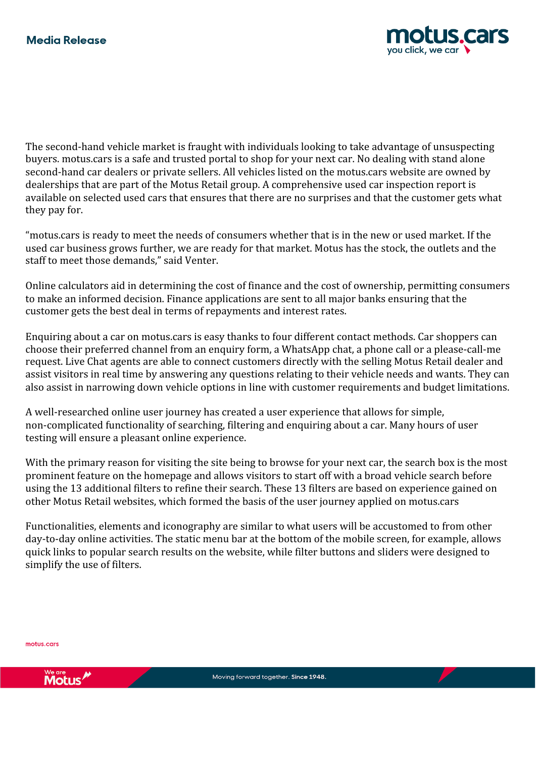

The second-hand vehicle market is fraught with individuals looking to take advantage of unsuspecting buyers. motus.cars is a safe and trusted portal to shop for your next car. No dealing with stand alone second-hand car dealers or private sellers. All vehicles listed on the motus.cars website are owned by dealerships that are part of the Motus Retail group. A comprehensive used car inspection report is available on selected used cars that ensures that there are no surprises and that the customer gets what they pay for.

"motus.cars is ready to meet the needs of consumers whether that is in the new or used market. If the used car business grows further, we are ready for that market. Motus has the stock, the outlets and the staff to meet those demands," said Venter.

Online calculators aid in determining the cost of finance and the cost of ownership, permitting consumers to make an informed decision. Finance applications are sent to all major banks ensuring that the customer gets the best deal in terms of repayments and interest rates.

Enquiring about a car on motus.cars is easy thanks to four different contact methods. Car shoppers can choose their preferred channel from an enquiry form, a WhatsApp chat, a phone call or a please-call-me request. Live Chat agents are able to connect customers directly with the selling Motus Retail dealer and assist visitors in real time by answering any questions relating to their vehicle needs and wants. They can also assist in narrowing down vehicle options in line with customer requirements and budget limitations.

A well-researched online user journey has created a user experience that allows for simple, non-complicated functionality of searching, filtering and enquiring about a car. Many hours of user testing will ensure a pleasant online experience.

With the primary reason for visiting the site being to browse for your next car, the search box is the most prominent feature on the homepage and allows visitors to start off with a broad vehicle search before using the 13 additional filters to refine their search. These 13 filters are based on experience gained on other Motus Retail websites, which formed the basis of the user journey applied on motus.cars

Functionalities, elements and iconography are similar to what users will be accustomed to from other day-to-day online activities. The static menu bar at the bottom of the mobile screen, for example, allows quick links to popular search results on the website, while filter buttons and sliders were designed to simplify the use of filters.

motus.cars